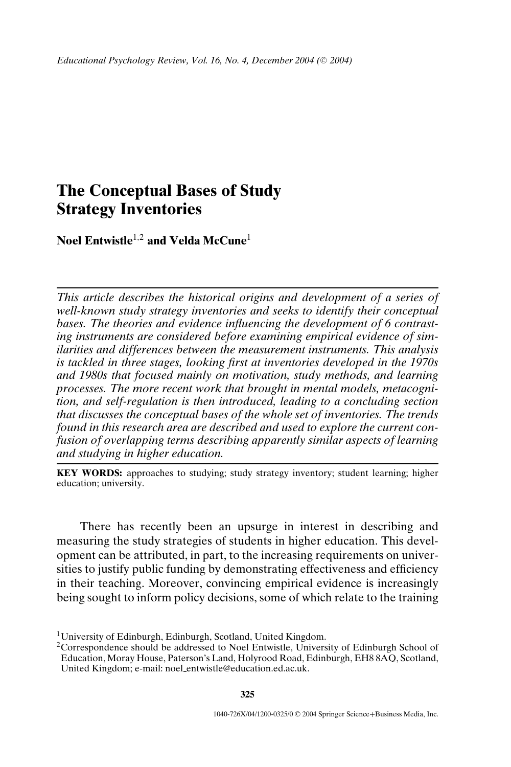**Noel Entwistle**<sup>1</sup>*,*<sup>2</sup> **and Velda McCune**<sup>1</sup>

*This article describes the historical origins and development of a series of well-known study strategy inventories and seeks to identify their conceptual bases. The theories and evidence influencing the development of 6 contrasting instruments are considered before examining empirical evidence of similarities and differences between the measurement instruments. This analysis is tackled in three stages, looking first at inventories developed in the 1970s and 1980s that focused mainly on motivation, study methods, and learning processes. The more recent work that brought in mental models, metacognition, and self-regulation is then introduced, leading to a concluding section that discusses the conceptual bases of the whole set of inventories. The trends found in this research area are described and used to explore the current confusion of overlapping terms describing apparently similar aspects of learning and studying in higher education.*

**KEY WORDS:** approaches to studying; study strategy inventory; student learning; higher education; university.

There has recently been an upsurge in interest in describing and measuring the study strategies of students in higher education. This development can be attributed, in part, to the increasing requirements on universities to justify public funding by demonstrating effectiveness and efficiency in their teaching. Moreover, convincing empirical evidence is increasingly being sought to inform policy decisions, some of which relate to the training

<sup>&</sup>lt;sup>1</sup>University of Edinburgh, Edinburgh, Scotland, United Kingdom.

<sup>&</sup>lt;sup>2</sup>Correspondence should be addressed to Noel Entwistle, University of Edinburgh School of Education, Moray House, Paterson's Land, Holyrood Road, Edinburgh, EH8 8AQ, Scotland, United Kingdom; e-mail: noel entwistle@education.ed.ac.uk.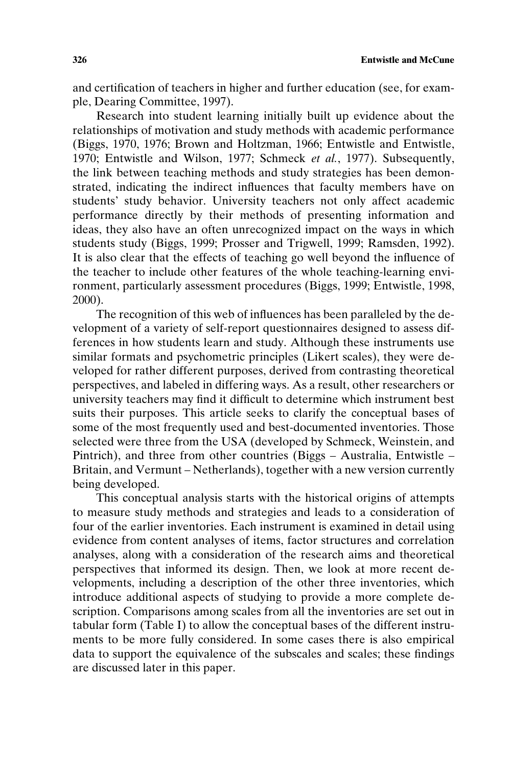and certification of teachers in higher and further education (see, for example, Dearing Committee, 1997).

Research into student learning initially built up evidence about the relationships of motivation and study methods with academic performance (Biggs, 1970, 1976; Brown and Holtzman, 1966; Entwistle and Entwistle, 1970; Entwistle and Wilson, 1977; Schmeck *et al.*, 1977). Subsequently, the link between teaching methods and study strategies has been demonstrated, indicating the indirect influences that faculty members have on students' study behavior. University teachers not only affect academic performance directly by their methods of presenting information and ideas, they also have an often unrecognized impact on the ways in which students study (Biggs, 1999; Prosser and Trigwell, 1999; Ramsden, 1992). It is also clear that the effects of teaching go well beyond the influence of the teacher to include other features of the whole teaching-learning environment, particularly assessment procedures (Biggs, 1999; Entwistle, 1998, 2000).

The recognition of this web of influences has been paralleled by the development of a variety of self-report questionnaires designed to assess differences in how students learn and study. Although these instruments use similar formats and psychometric principles (Likert scales), they were developed for rather different purposes, derived from contrasting theoretical perspectives, and labeled in differing ways. As a result, other researchers or university teachers may find it difficult to determine which instrument best suits their purposes. This article seeks to clarify the conceptual bases of some of the most frequently used and best-documented inventories. Those selected were three from the USA (developed by Schmeck, Weinstein, and Pintrich), and three from other countries (Biggs – Australia, Entwistle – Britain, and Vermunt – Netherlands), together with a new version currently being developed.

This conceptual analysis starts with the historical origins of attempts to measure study methods and strategies and leads to a consideration of four of the earlier inventories. Each instrument is examined in detail using evidence from content analyses of items, factor structures and correlation analyses, along with a consideration of the research aims and theoretical perspectives that informed its design. Then, we look at more recent developments, including a description of the other three inventories, which introduce additional aspects of studying to provide a more complete description. Comparisons among scales from all the inventories are set out in tabular form (Table I) to allow the conceptual bases of the different instruments to be more fully considered. In some cases there is also empirical data to support the equivalence of the subscales and scales; these findings are discussed later in this paper.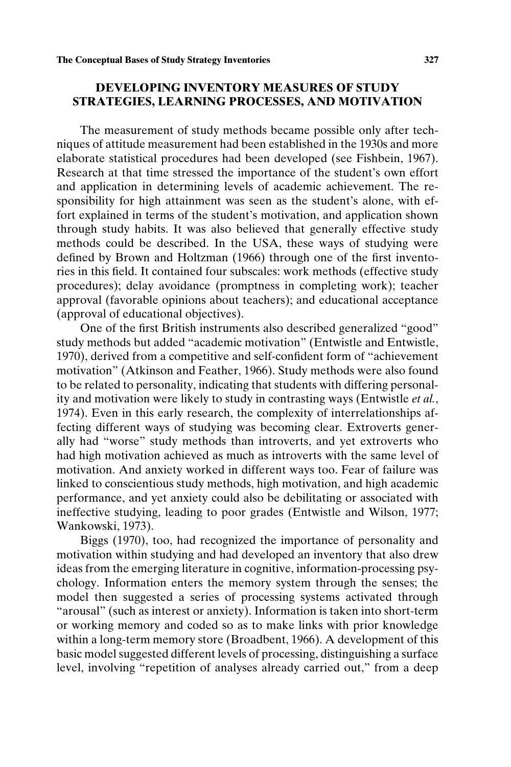## **DEVELOPING INVENTORY MEASURES OF STUDY STRATEGIES, LEARNING PROCESSES, AND MOTIVATION**

The measurement of study methods became possible only after techniques of attitude measurement had been established in the 1930s and more elaborate statistical procedures had been developed (see Fishbein, 1967). Research at that time stressed the importance of the student's own effort and application in determining levels of academic achievement. The responsibility for high attainment was seen as the student's alone, with effort explained in terms of the student's motivation, and application shown through study habits. It was also believed that generally effective study methods could be described. In the USA, these ways of studying were defined by Brown and Holtzman (1966) through one of the first inventories in this field. It contained four subscales: work methods (effective study procedures); delay avoidance (promptness in completing work); teacher approval (favorable opinions about teachers); and educational acceptance (approval of educational objectives).

One of the first British instruments also described generalized "good" study methods but added "academic motivation" (Entwistle and Entwistle, 1970), derived from a competitive and self-confident form of "achievement motivation" (Atkinson and Feather, 1966). Study methods were also found to be related to personality, indicating that students with differing personality and motivation were likely to study in contrasting ways (Entwistle *et al.*, 1974). Even in this early research, the complexity of interrelationships affecting different ways of studying was becoming clear. Extroverts generally had "worse" study methods than introverts, and yet extroverts who had high motivation achieved as much as introverts with the same level of motivation. And anxiety worked in different ways too. Fear of failure was linked to conscientious study methods, high motivation, and high academic performance, and yet anxiety could also be debilitating or associated with ineffective studying, leading to poor grades (Entwistle and Wilson, 1977; Wankowski, 1973).

Biggs (1970), too, had recognized the importance of personality and motivation within studying and had developed an inventory that also drew ideas from the emerging literature in cognitive, information-processing psychology. Information enters the memory system through the senses; the model then suggested a series of processing systems activated through "arousal" (such as interest or anxiety). Information is taken into short-term or working memory and coded so as to make links with prior knowledge within a long-term memory store (Broadbent, 1966). A development of this basic model suggested different levels of processing, distinguishing a surface level, involving "repetition of analyses already carried out," from a deep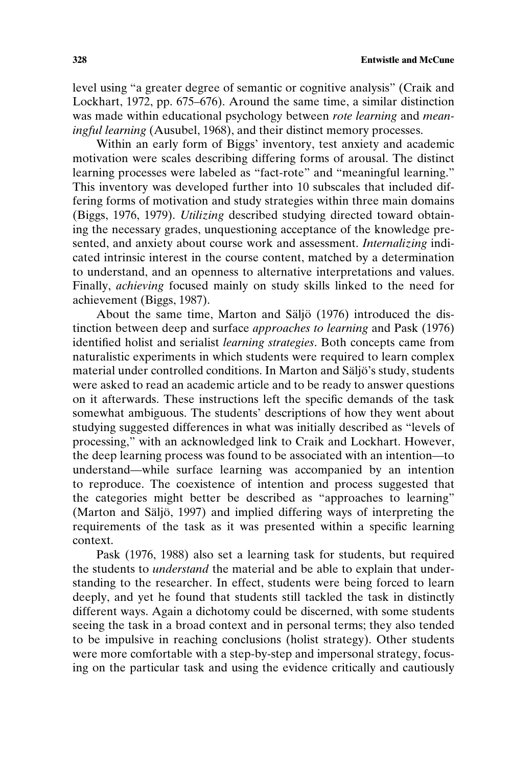level using "a greater degree of semantic or cognitive analysis" (Craik and Lockhart, 1972, pp. 675–676). Around the same time, a similar distinction was made within educational psychology between *rote learning* and *meaningful learning* (Ausubel, 1968), and their distinct memory processes.

Within an early form of Biggs' inventory, test anxiety and academic motivation were scales describing differing forms of arousal. The distinct learning processes were labeled as "fact-rote" and "meaningful learning." This inventory was developed further into 10 subscales that included differing forms of motivation and study strategies within three main domains (Biggs, 1976, 1979). *Utilizing* described studying directed toward obtaining the necessary grades, unquestioning acceptance of the knowledge presented, and anxiety about course work and assessment. *Internalizing* indicated intrinsic interest in the course content, matched by a determination to understand, and an openness to alternative interpretations and values. Finally, *achieving* focused mainly on study skills linked to the need for achievement (Biggs, 1987).

About the same time, Marton and Säljö (1976) introduced the distinction between deep and surface *approaches to learning* and Pask (1976) identified holist and serialist *learning strategies*. Both concepts came from naturalistic experiments in which students were required to learn complex material under controlled conditions. In Marton and Säljö's study, students were asked to read an academic article and to be ready to answer questions on it afterwards. These instructions left the specific demands of the task somewhat ambiguous. The students' descriptions of how they went about studying suggested differences in what was initially described as "levels of processing," with an acknowledged link to Craik and Lockhart. However, the deep learning process was found to be associated with an intention—to understand—while surface learning was accompanied by an intention to reproduce. The coexistence of intention and process suggested that the categories might better be described as "approaches to learning" (Marton and Säljö, 1997) and implied differing ways of interpreting the requirements of the task as it was presented within a specific learning context.

Pask (1976, 1988) also set a learning task for students, but required the students to *understand* the material and be able to explain that understanding to the researcher. In effect, students were being forced to learn deeply, and yet he found that students still tackled the task in distinctly different ways. Again a dichotomy could be discerned, with some students seeing the task in a broad context and in personal terms; they also tended to be impulsive in reaching conclusions (holist strategy). Other students were more comfortable with a step-by-step and impersonal strategy, focusing on the particular task and using the evidence critically and cautiously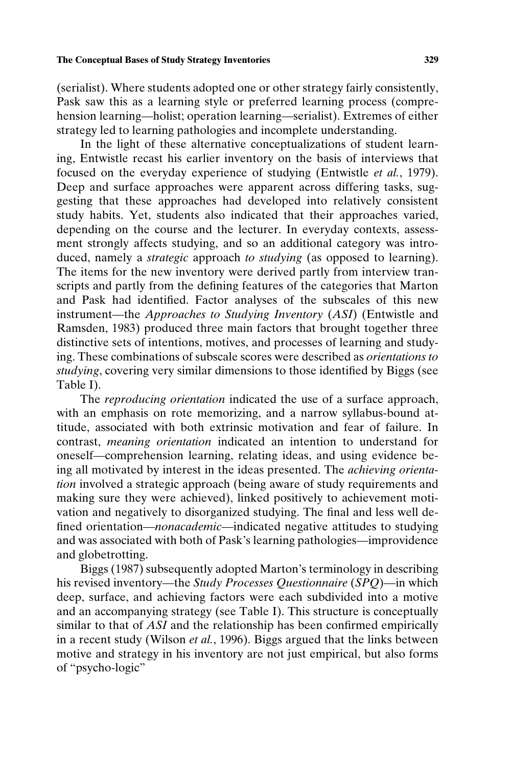(serialist). Where students adopted one or other strategy fairly consistently, Pask saw this as a learning style or preferred learning process (comprehension learning—holist; operation learning—serialist). Extremes of either strategy led to learning pathologies and incomplete understanding.

In the light of these alternative conceptualizations of student learning, Entwistle recast his earlier inventory on the basis of interviews that focused on the everyday experience of studying (Entwistle *et al.*, 1979). Deep and surface approaches were apparent across differing tasks, suggesting that these approaches had developed into relatively consistent study habits. Yet, students also indicated that their approaches varied, depending on the course and the lecturer. In everyday contexts, assessment strongly affects studying, and so an additional category was introduced, namely a *strategic* approach *to studying* (as opposed to learning). The items for the new inventory were derived partly from interview transcripts and partly from the defining features of the categories that Marton and Pask had identified. Factor analyses of the subscales of this new instrument—the *Approaches to Studying Inventory* (*ASI*) (Entwistle and Ramsden, 1983) produced three main factors that brought together three distinctive sets of intentions, motives, and processes of learning and studying. These combinations of subscale scores were described as *orientations to studying*, covering very similar dimensions to those identified by Biggs (see Table I).

The *reproducing orientation* indicated the use of a surface approach, with an emphasis on rote memorizing, and a narrow syllabus-bound attitude, associated with both extrinsic motivation and fear of failure. In contrast, *meaning orientation* indicated an intention to understand for oneself—comprehension learning, relating ideas, and using evidence being all motivated by interest in the ideas presented. The *achieving orientation* involved a strategic approach (being aware of study requirements and making sure they were achieved), linked positively to achievement motivation and negatively to disorganized studying. The final and less well defined orientation—*nonacademic*—indicated negative attitudes to studying and was associated with both of Pask's learning pathologies—improvidence and globetrotting.

Biggs (1987) subsequently adopted Marton's terminology in describing his revised inventory—the *Study Processes Questionnaire* (*SPQ*)—in which deep, surface, and achieving factors were each subdivided into a motive and an accompanying strategy (see Table I). This structure is conceptually similar to that of *ASI* and the relationship has been confirmed empirically in a recent study (Wilson *et al.*, 1996). Biggs argued that the links between motive and strategy in his inventory are not just empirical, but also forms of "psycho-logic"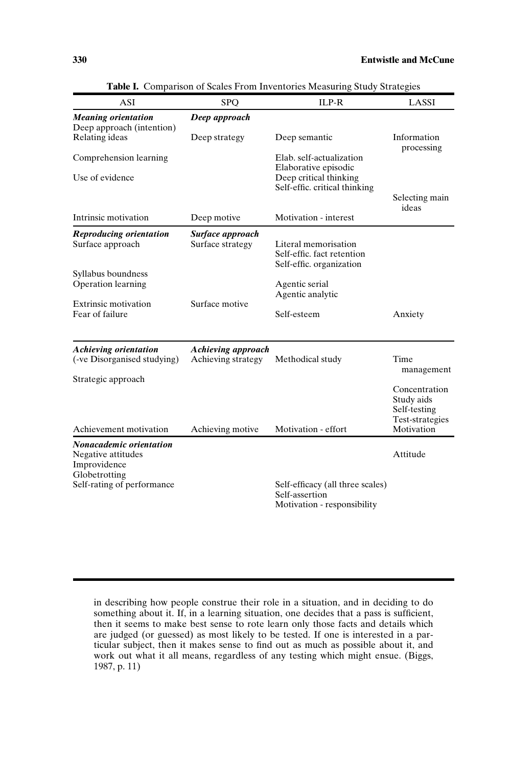| <b>SPO</b>                           | ILP-R                                                                             | <b>LASSI</b>                                                                 |
|--------------------------------------|-----------------------------------------------------------------------------------|------------------------------------------------------------------------------|
| Deep approach                        |                                                                                   |                                                                              |
| Deep strategy                        | Deep semantic                                                                     | Information<br>processing                                                    |
|                                      | Elab. self-actualization<br>Elaborative episodic                                  |                                                                              |
|                                      | Deep critical thinking<br>Self-effic. critical thinking                           |                                                                              |
|                                      |                                                                                   | Selecting main<br>ideas                                                      |
| Deep motive                          | Motivation - interest                                                             |                                                                              |
| Surface approach<br>Surface strategy | Literal memorisation<br>Self-effic, fact retention<br>Self-effic. organization    |                                                                              |
|                                      | Agentic serial<br>Agentic analytic                                                |                                                                              |
| Surface motive                       | Self-esteem                                                                       | Anxiety                                                                      |
| Achieving approach                   |                                                                                   |                                                                              |
| Achieving strategy                   | Methodical study                                                                  | Time<br>management                                                           |
|                                      |                                                                                   | Concentration<br>Study aids<br>Self-testing<br>Test-strategies<br>Motivation |
|                                      |                                                                                   |                                                                              |
|                                      | Self-efficacy (all three scales)<br>Self-assertion<br>Motivation - responsibility | Attitude                                                                     |
|                                      | Achieving motive                                                                  | Motivation - effort                                                          |

**Table I.** Comparison of Scales From Inventories Measuring Study Strategies

in describing how people construe their role in a situation, and in deciding to do something about it. If, in a learning situation, one decides that a pass is sufficient, then it seems to make best sense to rote learn only those facts and details which are judged (or guessed) as most likely to be tested. If one is interested in a particular subject, then it makes sense to find out as much as possible about it, and work out what it all means, regardless of any testing which might ensue. (Biggs, 1987, p. 11)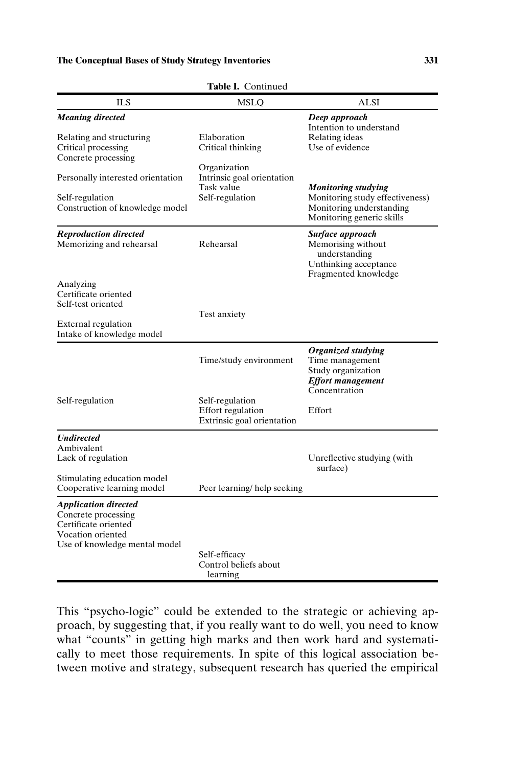| ILS                                                                                             | MSLO                                                               | ALSI                                                                                                            |
|-------------------------------------------------------------------------------------------------|--------------------------------------------------------------------|-----------------------------------------------------------------------------------------------------------------|
| <b>Meaning directed</b>                                                                         |                                                                    | Deep approach<br>Intention to understand                                                                        |
| Relating and structuring<br>Critical processing<br>Concrete processing                          | Elaboration<br>Critical thinking                                   | Relating ideas<br>Use of evidence                                                                               |
| Personally interested orientation                                                               | Organization<br>Intrinsic goal orientation<br>Task value           | <b>Monitoring studying</b>                                                                                      |
| Self-regulation<br>Construction of knowledge model                                              | Self-regulation                                                    | Monitoring study effectiveness)<br>Monitoring understanding<br>Monitoring generic skills                        |
| <b>Reproduction directed</b><br>Memorizing and rehearsal                                        | Rehearsal                                                          | Surface approach<br>Memorising without<br>understanding<br>Unthinking acceptance<br>Fragmented knowledge        |
| Analyzing<br>Certificate oriented<br>Self-test oriented                                         |                                                                    |                                                                                                                 |
| External regulation<br>Intake of knowledge model                                                | Test anxiety                                                       |                                                                                                                 |
|                                                                                                 | Time/study environment                                             | <b>Organized studying</b><br>Time management<br>Study organization<br><b>Effort management</b><br>Concentration |
| Self-regulation                                                                                 | Self-regulation<br>Effort regulation<br>Extrinsic goal orientation | Effort                                                                                                          |
| <b>Undirected</b><br>Ambivalent<br>Lack of regulation                                           |                                                                    | Unreflective studying (with                                                                                     |
| Stimulating education model<br>Cooperative learning model                                       | Peer learning/help seeking                                         | surface)                                                                                                        |
| <b>Application directed</b><br>Concrete processing<br>Certificate oriented<br>Vocation oriented |                                                                    |                                                                                                                 |
| Use of knowledge mental model                                                                   | Self-efficacy<br>Control beliefs about<br>learning                 |                                                                                                                 |

**Table I.** Continued

This "psycho-logic" could be extended to the strategic or achieving approach, by suggesting that, if you really want to do well, you need to know what "counts" in getting high marks and then work hard and systematically to meet those requirements. In spite of this logical association between motive and strategy, subsequent research has queried the empirical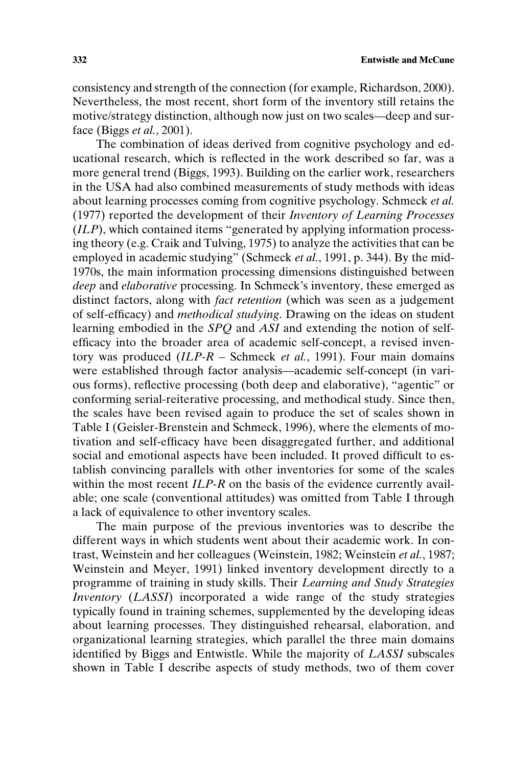consistency and strength of the connection (for example, Richardson, 2000). Nevertheless, the most recent, short form of the inventory still retains the motive/strategy distinction, although now just on two scales—deep and surface (Biggs *et al.*, 2001).

The combination of ideas derived from cognitive psychology and educational research, which is reflected in the work described so far, was a more general trend (Biggs, 1993). Building on the earlier work, researchers in the USA had also combined measurements of study methods with ideas about learning processes coming from cognitive psychology. Schmeck *et al.* (1977) reported the development of their *Inventory of Learning Processes* (*ILP*), which contained items "generated by applying information processing theory (e.g. Craik and Tulving, 1975) to analyze the activities that can be employed in academic studying" (Schmeck *et al.*, 1991, p. 344). By the mid-1970s, the main information processing dimensions distinguished between *deep* and *elaborative* processing. In Schmeck's inventory, these emerged as distinct factors, along with *fact retention* (which was seen as a judgement of self-efficacy) and *methodical studying*. Drawing on the ideas on student learning embodied in the *SPQ* and *ASI* and extending the notion of selfefficacy into the broader area of academic self-concept, a revised inventory was produced (*ILP-R* – Schmeck *et al.*, 1991). Four main domains were established through factor analysis—academic self-concept (in various forms), reflective processing (both deep and elaborative), "agentic" or conforming serial-reiterative processing, and methodical study. Since then, the scales have been revised again to produce the set of scales shown in Table I (Geisler-Brenstein and Schmeck, 1996), where the elements of motivation and self-efficacy have been disaggregated further, and additional social and emotional aspects have been included. It proved difficult to establish convincing parallels with other inventories for some of the scales within the most recent *ILP-R* on the basis of the evidence currently available; one scale (conventional attitudes) was omitted from Table I through a lack of equivalence to other inventory scales.

The main purpose of the previous inventories was to describe the different ways in which students went about their academic work. In contrast, Weinstein and her colleagues (Weinstein, 1982; Weinstein *et al.*, 1987; Weinstein and Meyer, 1991) linked inventory development directly to a programme of training in study skills. Their *Learning and Study Strategies Inventory* (*LASSI*) incorporated a wide range of the study strategies typically found in training schemes, supplemented by the developing ideas about learning processes. They distinguished rehearsal, elaboration, and organizational learning strategies, which parallel the three main domains identified by Biggs and Entwistle. While the majority of *LASSI* subscales shown in Table I describe aspects of study methods, two of them cover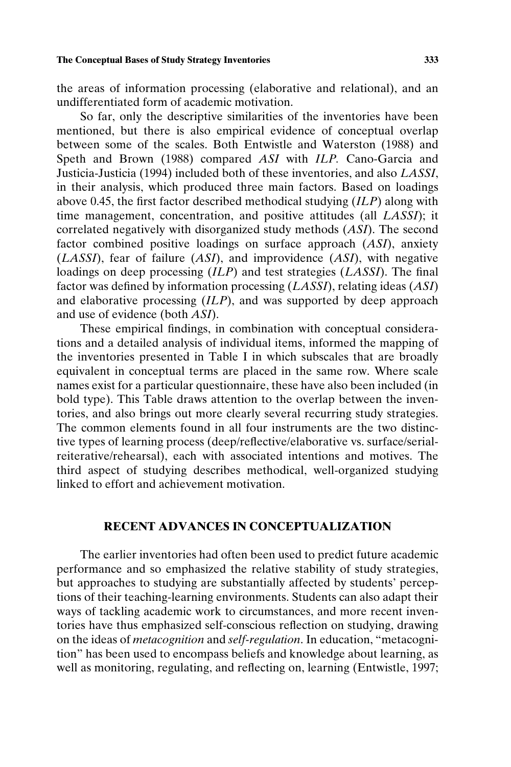the areas of information processing (elaborative and relational), and an undifferentiated form of academic motivation.

So far, only the descriptive similarities of the inventories have been mentioned, but there is also empirical evidence of conceptual overlap between some of the scales. Both Entwistle and Waterston (1988) and Speth and Brown (1988) compared *ASI* with *ILP.* Cano-Garcia and Justicia-Justicia (1994) included both of these inventories, and also *LASSI*, in their analysis, which produced three main factors. Based on loadings above 0.45, the first factor described methodical studying (*ILP*) along with time management, concentration, and positive attitudes (all *LASSI*); it correlated negatively with disorganized study methods (*ASI*). The second factor combined positive loadings on surface approach (*ASI*), anxiety (*LASSI*), fear of failure (*ASI*), and improvidence (*ASI*), with negative loadings on deep processing (*ILP*) and test strategies (*LASSI*). The final factor was defined by information processing (*LASSI*), relating ideas (*ASI*) and elaborative processing (*ILP*), and was supported by deep approach and use of evidence (both *ASI*).

These empirical findings, in combination with conceptual considerations and a detailed analysis of individual items, informed the mapping of the inventories presented in Table I in which subscales that are broadly equivalent in conceptual terms are placed in the same row. Where scale names exist for a particular questionnaire, these have also been included (in bold type). This Table draws attention to the overlap between the inventories, and also brings out more clearly several recurring study strategies. The common elements found in all four instruments are the two distinctive types of learning process (deep/reflective/elaborative vs. surface/serialreiterative/rehearsal), each with associated intentions and motives. The third aspect of studying describes methodical, well-organized studying linked to effort and achievement motivation.

# **RECENT ADVANCES IN CONCEPTUALIZATION**

The earlier inventories had often been used to predict future academic performance and so emphasized the relative stability of study strategies, but approaches to studying are substantially affected by students' perceptions of their teaching-learning environments. Students can also adapt their ways of tackling academic work to circumstances, and more recent inventories have thus emphasized self-conscious reflection on studying, drawing on the ideas of *metacognition* and *self-regulation*. In education, "metacognition" has been used to encompass beliefs and knowledge about learning, as well as monitoring, regulating, and reflecting on, learning (Entwistle, 1997;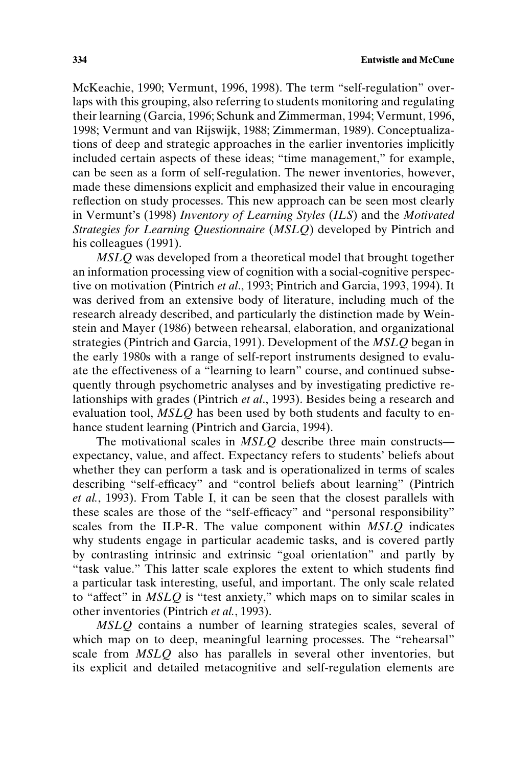McKeachie, 1990; Vermunt, 1996, 1998). The term "self-regulation" overlaps with this grouping, also referring to students monitoring and regulating their learning (Garcia, 1996; Schunk and Zimmerman, 1994; Vermunt, 1996, 1998; Vermunt and van Rijswijk, 1988; Zimmerman, 1989). Conceptualizations of deep and strategic approaches in the earlier inventories implicitly included certain aspects of these ideas; "time management," for example, can be seen as a form of self-regulation. The newer inventories, however, made these dimensions explicit and emphasized their value in encouraging reflection on study processes. This new approach can be seen most clearly in Vermunt's (1998) *Inventory of Learning Styles* (*ILS*) and the *Motivated Strategies for Learning Questionnaire* (*MSLQ*) developed by Pintrich and his colleagues (1991).

*MSLQ* was developed from a theoretical model that brought together an information processing view of cognition with a social-cognitive perspective on motivation (Pintrich *et al*., 1993; Pintrich and Garcia, 1993, 1994). It was derived from an extensive body of literature, including much of the research already described, and particularly the distinction made by Weinstein and Mayer (1986) between rehearsal, elaboration, and organizational strategies (Pintrich and Garcia, 1991). Development of the *MSLQ* began in the early 1980s with a range of self-report instruments designed to evaluate the effectiveness of a "learning to learn" course, and continued subsequently through psychometric analyses and by investigating predictive relationships with grades (Pintrich *et al*., 1993). Besides being a research and evaluation tool, *MSLQ* has been used by both students and faculty to enhance student learning (Pintrich and Garcia, 1994).

The motivational scales in *MSLQ* describe three main constructs expectancy, value, and affect. Expectancy refers to students' beliefs about whether they can perform a task and is operationalized in terms of scales describing "self-efficacy" and "control beliefs about learning" (Pintrich *et al.*, 1993). From Table I, it can be seen that the closest parallels with these scales are those of the "self-efficacy" and "personal responsibility" scales from the ILP-R. The value component within *MSLQ* indicates why students engage in particular academic tasks, and is covered partly by contrasting intrinsic and extrinsic "goal orientation" and partly by "task value." This latter scale explores the extent to which students find a particular task interesting, useful, and important. The only scale related to "affect" in *MSLQ* is "test anxiety," which maps on to similar scales in other inventories (Pintrich *et al.*, 1993).

*MSLQ* contains a number of learning strategies scales, several of which map on to deep, meaningful learning processes. The "rehearsal" scale from *MSLQ* also has parallels in several other inventories, but its explicit and detailed metacognitive and self-regulation elements are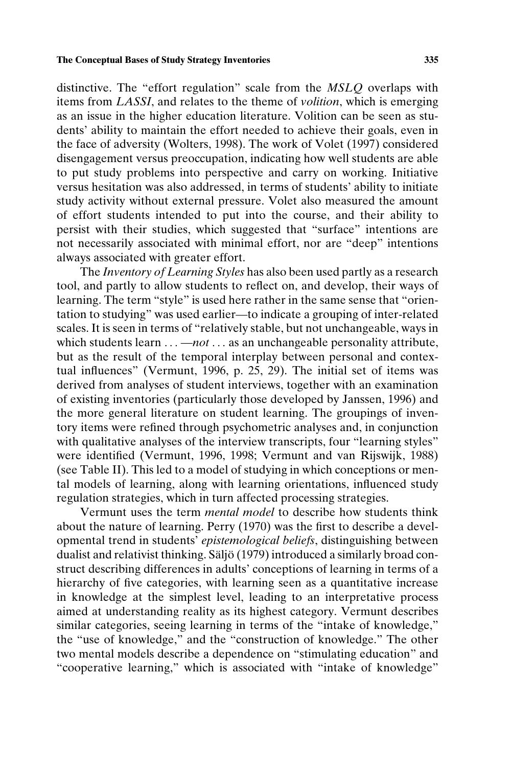distinctive. The "effort regulation" scale from the *MSLQ* overlaps with items from *LASSI*, and relates to the theme of *volition*, which is emerging as an issue in the higher education literature. Volition can be seen as students' ability to maintain the effort needed to achieve their goals, even in the face of adversity (Wolters, 1998). The work of Volet (1997) considered disengagement versus preoccupation, indicating how well students are able to put study problems into perspective and carry on working. Initiative versus hesitation was also addressed, in terms of students' ability to initiate study activity without external pressure. Volet also measured the amount of effort students intended to put into the course, and their ability to persist with their studies, which suggested that "surface" intentions are not necessarily associated with minimal effort, nor are "deep" intentions always associated with greater effort.

The *Inventory of Learning Styles* has also been used partly as a research tool, and partly to allow students to reflect on, and develop, their ways of learning. The term "style" is used here rather in the same sense that "orientation to studying" was used earlier—to indicate a grouping of inter-related scales. It is seen in terms of "relatively stable, but not unchangeable, ways in which students learn  $\dots$  —*not*  $\dots$  as an unchangeable personality attribute, but as the result of the temporal interplay between personal and contextual influences" (Vermunt, 1996, p. 25, 29). The initial set of items was derived from analyses of student interviews, together with an examination of existing inventories (particularly those developed by Janssen, 1996) and the more general literature on student learning. The groupings of inventory items were refined through psychometric analyses and, in conjunction with qualitative analyses of the interview transcripts, four "learning styles" were identified (Vermunt, 1996, 1998; Vermunt and van Rijswijk, 1988) (see Table II). This led to a model of studying in which conceptions or mental models of learning, along with learning orientations, influenced study regulation strategies, which in turn affected processing strategies.

Vermunt uses the term *mental model* to describe how students think about the nature of learning. Perry (1970) was the first to describe a developmental trend in students' *epistemological beliefs*, distinguishing between dualist and relativist thinking. Säljö (1979) introduced a similarly broad construct describing differences in adults' conceptions of learning in terms of a hierarchy of five categories, with learning seen as a quantitative increase in knowledge at the simplest level, leading to an interpretative process aimed at understanding reality as its highest category. Vermunt describes similar categories, seeing learning in terms of the "intake of knowledge," the "use of knowledge," and the "construction of knowledge." The other two mental models describe a dependence on "stimulating education" and "cooperative learning," which is associated with "intake of knowledge"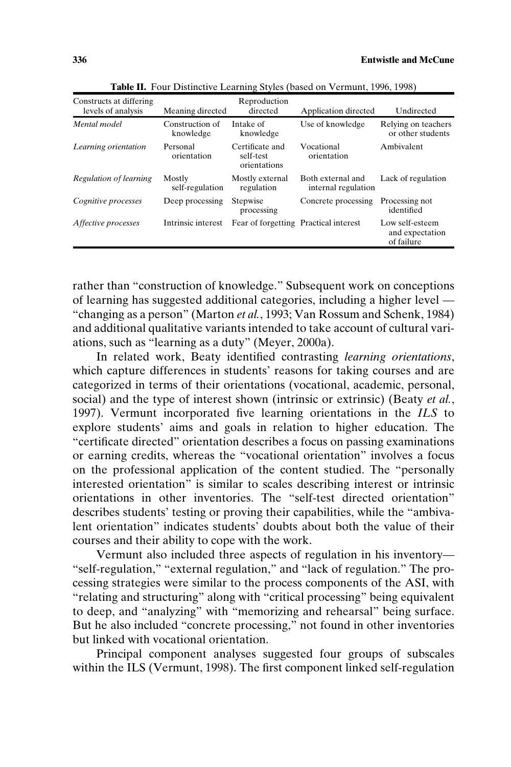| Constructs at differing<br>levels of analysis | Meaning directed             | Reproduction<br>directed                     | Application directed                     | Undirected                                       |
|-----------------------------------------------|------------------------------|----------------------------------------------|------------------------------------------|--------------------------------------------------|
| Mental model                                  | Construction of<br>knowledge | Intake of<br>knowledge                       | Use of knowledge                         | Relying on teachers<br>or other students         |
| Learning orientation                          | Personal<br>orientation      | Certificate and<br>self-test<br>orientations | Vocational<br>orientation                | Ambivalent                                       |
| Regulation of learning                        | Mostly<br>self-regulation    | Mostly external<br>regulation                | Both external and<br>internal regulation | Lack of regulation                               |
| Cognitive processes                           | Deep processing              | Stepwise<br>processing                       | Concrete processing                      | Processing not<br>identified                     |
| Affective processes                           | Intrinsic interest           | Fear of forgetting Practical interest        |                                          | Low self-esteem<br>and expectation<br>of failure |

**Table II.** Four Distinctive Learning Styles (based on Vermunt, 1996, 1998)

rather than "construction of knowledge." Subsequent work on conceptions of learning has suggested additional categories, including a higher level — "changing as a person" (Marton *et al.*, 1993; Van Rossum and Schenk, 1984) and additional qualitative variants intended to take account of cultural variations, such as "learning as a duty" (Meyer, 2000a).

In related work, Beaty identified contrasting *learning orientations*, which capture differences in students' reasons for taking courses and are categorized in terms of their orientations (vocational, academic, personal, social) and the type of interest shown (intrinsic or extrinsic) (Beaty *et al.*, 1997). Vermunt incorporated five learning orientations in the *ILS* to explore students' aims and goals in relation to higher education. The "certificate directed" orientation describes a focus on passing examinations or earning credits, whereas the "vocational orientation" involves a focus on the professional application of the content studied. The "personally interested orientation" is similar to scales describing interest or intrinsic orientations in other inventories. The "self-test directed orientation" describes students' testing or proving their capabilities, while the "ambivalent orientation" indicates students' doubts about both the value of their courses and their ability to cope with the work.

Vermunt also included three aspects of regulation in his inventory— "self-regulation," "external regulation," and "lack of regulation." The processing strategies were similar to the process components of the ASI, with "relating and structuring" along with "critical processing" being equivalent to deep, and "analyzing" with "memorizing and rehearsal" being surface. But he also included "concrete processing," not found in other inventories but linked with vocational orientation.

Principal component analyses suggested four groups of subscales within the ILS (Vermunt, 1998). The first component linked self-regulation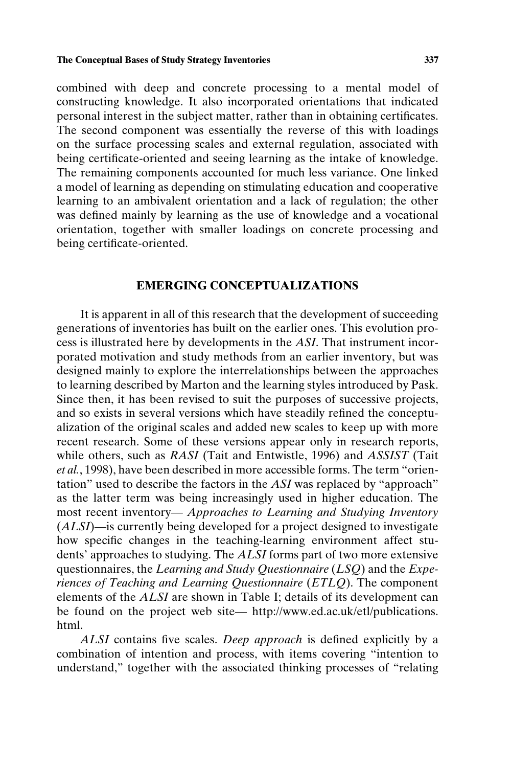combined with deep and concrete processing to a mental model of constructing knowledge. It also incorporated orientations that indicated personal interest in the subject matter, rather than in obtaining certificates. The second component was essentially the reverse of this with loadings on the surface processing scales and external regulation, associated with being certificate-oriented and seeing learning as the intake of knowledge. The remaining components accounted for much less variance. One linked a model of learning as depending on stimulating education and cooperative learning to an ambivalent orientation and a lack of regulation; the other was defined mainly by learning as the use of knowledge and a vocational orientation, together with smaller loadings on concrete processing and being certificate-oriented.

## **EMERGING CONCEPTUALIZATIONS**

It is apparent in all of this research that the development of succeeding generations of inventories has built on the earlier ones. This evolution process is illustrated here by developments in the *ASI*. That instrument incorporated motivation and study methods from an earlier inventory, but was designed mainly to explore the interrelationships between the approaches to learning described by Marton and the learning styles introduced by Pask. Since then, it has been revised to suit the purposes of successive projects, and so exists in several versions which have steadily refined the conceptualization of the original scales and added new scales to keep up with more recent research. Some of these versions appear only in research reports, while others, such as *RASI* (Tait and Entwistle, 1996) and *ASSIST* (Tait *et al.*, 1998), have been described in more accessible forms. The term "orientation" used to describe the factors in the *ASI* was replaced by "approach" as the latter term was being increasingly used in higher education. The most recent inventory— *Approaches to Learning and Studying Inventory* (*ALSI*)—is currently being developed for a project designed to investigate how specific changes in the teaching-learning environment affect students' approaches to studying. The *ALSI* forms part of two more extensive questionnaires, the *Learning and Study Questionnaire* (*LSQ*) and the *Experiences of Teaching and Learning Questionnaire* (*ETLQ*). The component elements of the *ALSI* are shown in Table I; details of its development can be found on the project web site— http://www.ed.ac.uk/etl/publications. html.

*ALSI* contains five scales. *Deep approach* is defined explicitly by a combination of intention and process, with items covering "intention to understand," together with the associated thinking processes of "relating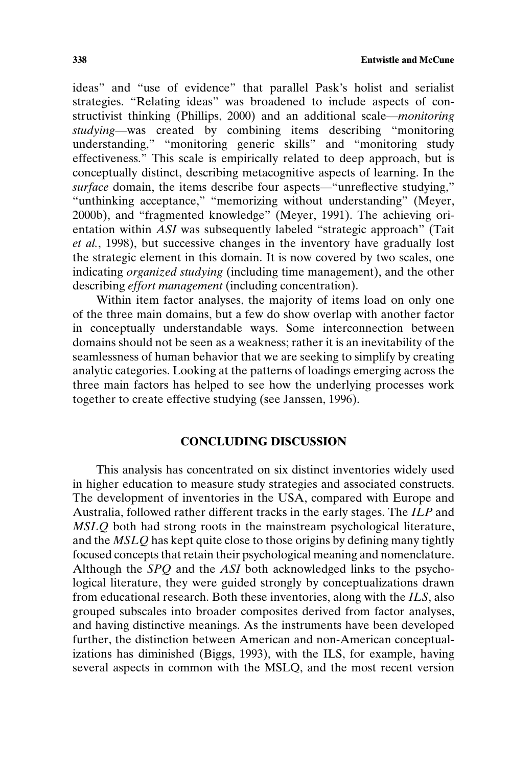ideas" and "use of evidence" that parallel Pask's holist and serialist strategies. "Relating ideas" was broadened to include aspects of constructivist thinking (Phillips, 2000) and an additional scale—*monitoring studying*—was created by combining items describing "monitoring understanding," "monitoring generic skills" and "monitoring study effectiveness." This scale is empirically related to deep approach, but is conceptually distinct, describing metacognitive aspects of learning. In the *surface* domain, the items describe four aspects—"unreflective studying," "unthinking acceptance," "memorizing without understanding" (Meyer, 2000b), and "fragmented knowledge" (Meyer, 1991). The achieving orientation within *ASI* was subsequently labeled "strategic approach" (Tait *et al.*, 1998), but successive changes in the inventory have gradually lost the strategic element in this domain. It is now covered by two scales, one indicating *organized studying* (including time management), and the other describing *effort management* (including concentration).

Within item factor analyses, the majority of items load on only one of the three main domains, but a few do show overlap with another factor in conceptually understandable ways. Some interconnection between domains should not be seen as a weakness; rather it is an inevitability of the seamlessness of human behavior that we are seeking to simplify by creating analytic categories. Looking at the patterns of loadings emerging across the three main factors has helped to see how the underlying processes work together to create effective studying (see Janssen, 1996).

## **CONCLUDING DISCUSSION**

This analysis has concentrated on six distinct inventories widely used in higher education to measure study strategies and associated constructs. The development of inventories in the USA, compared with Europe and Australia, followed rather different tracks in the early stages. The *ILP* and *MSLQ* both had strong roots in the mainstream psychological literature, and the *MSLQ* has kept quite close to those origins by defining many tightly focused concepts that retain their psychological meaning and nomenclature. Although the *SPQ* and the *ASI* both acknowledged links to the psychological literature, they were guided strongly by conceptualizations drawn from educational research. Both these inventories, along with the *ILS*, also grouped subscales into broader composites derived from factor analyses, and having distinctive meanings. As the instruments have been developed further, the distinction between American and non-American conceptualizations has diminished (Biggs, 1993), with the ILS, for example, having several aspects in common with the MSLQ, and the most recent version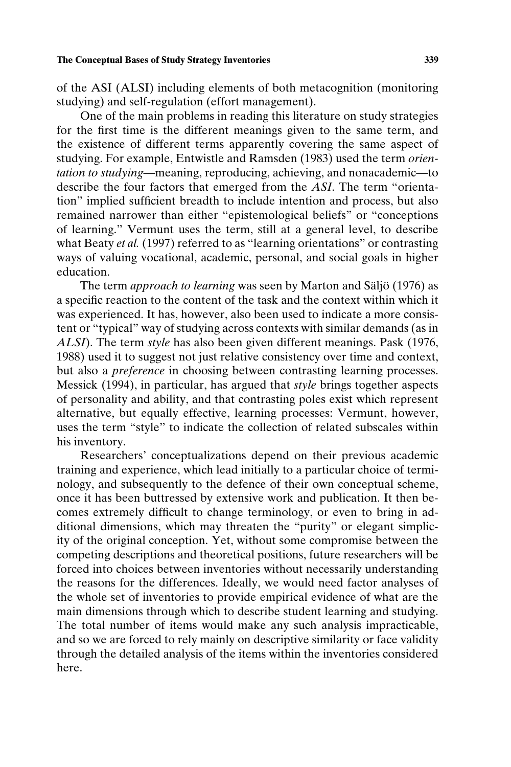of the ASI (ALSI) including elements of both metacognition (monitoring studying) and self-regulation (effort management).

One of the main problems in reading this literature on study strategies for the first time is the different meanings given to the same term, and the existence of different terms apparently covering the same aspect of studying. For example, Entwistle and Ramsden (1983) used the term *orientation to studying*—meaning, reproducing, achieving, and nonacademic—to describe the four factors that emerged from the *ASI*. The term "orientation" implied sufficient breadth to include intention and process, but also remained narrower than either "epistemological beliefs" or "conceptions of learning." Vermunt uses the term, still at a general level, to describe what Beaty *et al.* (1997) referred to as "learning orientations" or contrasting ways of valuing vocational, academic, personal, and social goals in higher education.

The term *approach to learning* was seen by Marton and Säljö (1976) as a specific reaction to the content of the task and the context within which it was experienced. It has, however, also been used to indicate a more consistent or "typical" way of studying across contexts with similar demands (as in *ALSI*). The term *style* has also been given different meanings. Pask (1976, 1988) used it to suggest not just relative consistency over time and context, but also a *preference* in choosing between contrasting learning processes. Messick (1994), in particular, has argued that *style* brings together aspects of personality and ability, and that contrasting poles exist which represent alternative, but equally effective, learning processes: Vermunt, however, uses the term "style" to indicate the collection of related subscales within his inventory.

Researchers' conceptualizations depend on their previous academic training and experience, which lead initially to a particular choice of terminology, and subsequently to the defence of their own conceptual scheme, once it has been buttressed by extensive work and publication. It then becomes extremely difficult to change terminology, or even to bring in additional dimensions, which may threaten the "purity" or elegant simplicity of the original conception. Yet, without some compromise between the competing descriptions and theoretical positions, future researchers will be forced into choices between inventories without necessarily understanding the reasons for the differences. Ideally, we would need factor analyses of the whole set of inventories to provide empirical evidence of what are the main dimensions through which to describe student learning and studying. The total number of items would make any such analysis impracticable, and so we are forced to rely mainly on descriptive similarity or face validity through the detailed analysis of the items within the inventories considered here.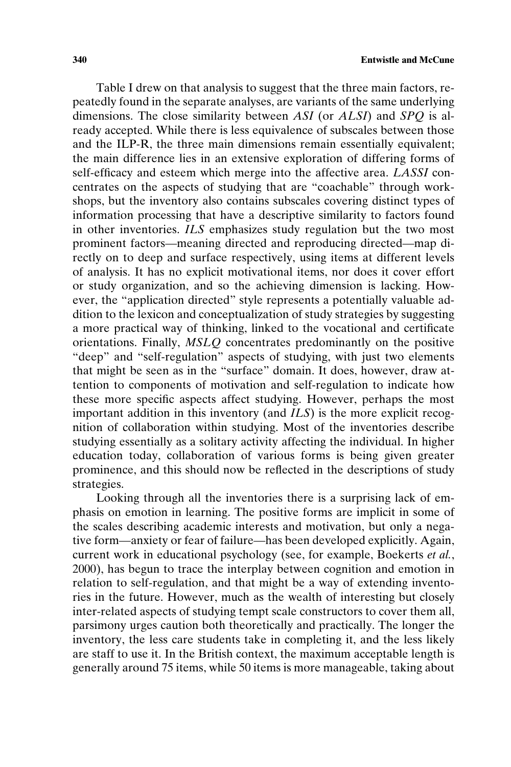Table I drew on that analysis to suggest that the three main factors, repeatedly found in the separate analyses, are variants of the same underlying dimensions. The close similarity between *ASI* (or *ALSI*) and *SPQ* is already accepted. While there is less equivalence of subscales between those and the ILP-R, the three main dimensions remain essentially equivalent; the main difference lies in an extensive exploration of differing forms of self-efficacy and esteem which merge into the affective area. *LASSI* concentrates on the aspects of studying that are "coachable" through workshops, but the inventory also contains subscales covering distinct types of information processing that have a descriptive similarity to factors found in other inventories. *ILS* emphasizes study regulation but the two most prominent factors—meaning directed and reproducing directed—map directly on to deep and surface respectively, using items at different levels of analysis. It has no explicit motivational items, nor does it cover effort or study organization, and so the achieving dimension is lacking. However, the "application directed" style represents a potentially valuable addition to the lexicon and conceptualization of study strategies by suggesting a more practical way of thinking, linked to the vocational and certificate orientations. Finally, *MSLQ* concentrates predominantly on the positive "deep" and "self-regulation" aspects of studying, with just two elements that might be seen as in the "surface" domain. It does, however, draw attention to components of motivation and self-regulation to indicate how these more specific aspects affect studying. However, perhaps the most important addition in this inventory (and *ILS*) is the more explicit recognition of collaboration within studying. Most of the inventories describe studying essentially as a solitary activity affecting the individual. In higher education today, collaboration of various forms is being given greater prominence, and this should now be reflected in the descriptions of study strategies.

Looking through all the inventories there is a surprising lack of emphasis on emotion in learning. The positive forms are implicit in some of the scales describing academic interests and motivation, but only a negative form—anxiety or fear of failure—has been developed explicitly. Again, current work in educational psychology (see, for example, Boekerts *et al.*, 2000), has begun to trace the interplay between cognition and emotion in relation to self-regulation, and that might be a way of extending inventories in the future. However, much as the wealth of interesting but closely inter-related aspects of studying tempt scale constructors to cover them all, parsimony urges caution both theoretically and practically. The longer the inventory, the less care students take in completing it, and the less likely are staff to use it. In the British context, the maximum acceptable length is generally around 75 items, while 50 items is more manageable, taking about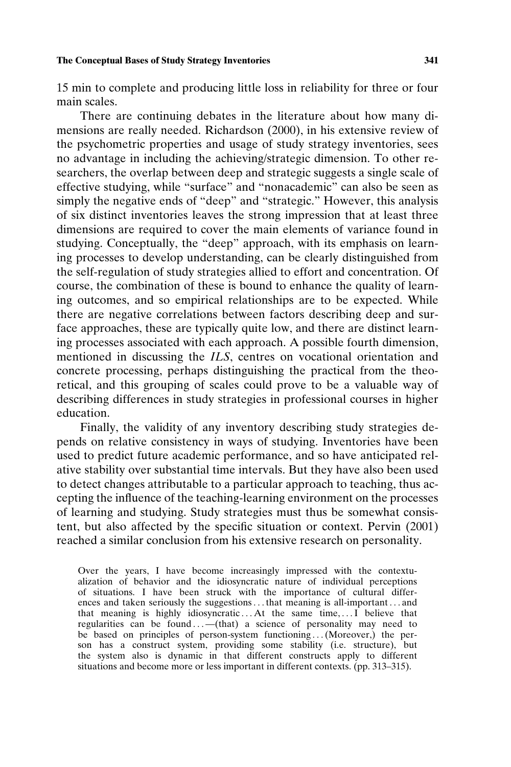15 min to complete and producing little loss in reliability for three or four main scales.

There are continuing debates in the literature about how many dimensions are really needed. Richardson (2000), in his extensive review of the psychometric properties and usage of study strategy inventories, sees no advantage in including the achieving/strategic dimension. To other researchers, the overlap between deep and strategic suggests a single scale of effective studying, while "surface" and "nonacademic" can also be seen as simply the negative ends of "deep" and "strategic." However, this analysis of six distinct inventories leaves the strong impression that at least three dimensions are required to cover the main elements of variance found in studying. Conceptually, the "deep" approach, with its emphasis on learning processes to develop understanding, can be clearly distinguished from the self-regulation of study strategies allied to effort and concentration. Of course, the combination of these is bound to enhance the quality of learning outcomes, and so empirical relationships are to be expected. While there are negative correlations between factors describing deep and surface approaches, these are typically quite low, and there are distinct learning processes associated with each approach. A possible fourth dimension, mentioned in discussing the *ILS*, centres on vocational orientation and concrete processing, perhaps distinguishing the practical from the theoretical, and this grouping of scales could prove to be a valuable way of describing differences in study strategies in professional courses in higher education.

Finally, the validity of any inventory describing study strategies depends on relative consistency in ways of studying. Inventories have been used to predict future academic performance, and so have anticipated relative stability over substantial time intervals. But they have also been used to detect changes attributable to a particular approach to teaching, thus accepting the influence of the teaching-learning environment on the processes of learning and studying. Study strategies must thus be somewhat consistent, but also affected by the specific situation or context. Pervin (2001) reached a similar conclusion from his extensive research on personality.

Over the years, I have become increasingly impressed with the contextualization of behavior and the idiosyncratic nature of individual perceptions of situations. I have been struck with the importance of cultural differences and taken seriously the suggestions*...* that meaning is all-important *...* and that meaning is highly idiosyncratic *...* At the same time, *...*I believe that regularities can be found *...*—(that) a science of personality may need to be based on principles of person-system functioning *...*(Moreover,) the person has a construct system, providing some stability (i.e. structure), but the system also is dynamic in that different constructs apply to different situations and become more or less important in different contexts. (pp. 313–315).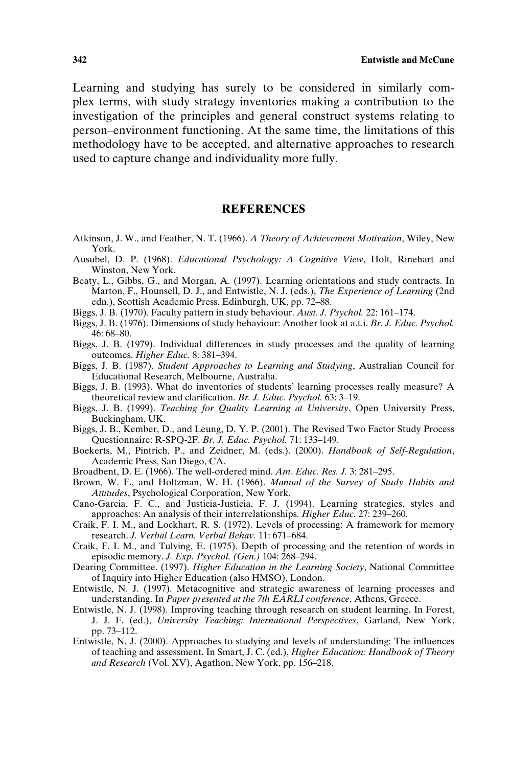Learning and studying has surely to be considered in similarly complex terms, with study strategy inventories making a contribution to the investigation of the principles and general construct systems relating to person–environment functioning. At the same time, the limitations of this methodology have to be accepted, and alternative approaches to research used to capture change and individuality more fully.

## **REFERENCES**

- Atkinson, J. W., and Feather, N. T. (1966). *A Theory of Achievement Motivation*, Wiley, New York.
- Ausubel, D. P. (1968). *Educational Psychology: A Cognitive View*, Holt, Rinehart and Winston, New York.
- Beaty, L., Gibbs, G., and Morgan, A. (1997). Learning orientations and study contracts. In Marton, F., Hounsell, D. J., and Entwistle, N. J. (eds.), *The Experience of Learning* (2nd edn.), Scottish Academic Press, Edinburgh, UK, pp. 72–88.
- Biggs, J. B. (1970). Faculty pattern in study behaviour. *Aust. J. Psychol.* 22: 161–174.
- Biggs, J. B. (1976). Dimensions of study behaviour: Another look at a.t.i. *Br. J. Educ. Psychol.* 46: 68–80.
- Biggs, J. B. (1979). Individual differences in study processes and the quality of learning outcomes. *Higher Educ.* 8: 381–394.
- Biggs, J. B. (1987). *Student Approaches to Learning and Studying*, Australian Council for Educational Research, Melbourne, Australia.
- Biggs, J. B. (1993). What do inventories of students' learning processes really measure? A theoretical review and clarification. *Br. J. Educ. Psychol.* 63: 3–19.
- Biggs, J. B. (1999). *Teaching for Quality Learning at University*, Open University Press, Buckingham, UK.
- Biggs, J. B., Kember, D., and Leung, D. Y. P. (2001). The Revised Two Factor Study Process Questionnaire: R-SPQ-2F. *Br. J. Educ. Psychol.* 71: 133–149.
- Boekerts, M., Pintrich, P., and Zeidner, M. (eds.). (2000). *Handbook of Self-Regulation*, Academic Press, San Diego, CA.
- Broadbent, D. E. (1966). The well-ordered mind. *Am. Educ. Res. J.* 3: 281–295.
- Brown, W. F., and Holtzman, W. H. (1966). *Manual of the Survey of Study Habits and Attitudes*, Psychological Corporation, New York.
- Cano-Garcia, F. C., and Justicia-Justicia, F. J. (1994). Learning strategies, styles and approaches: An analysis of their interrelationships. *Higher Educ.* 27: 239–260.
- Craik, F. I. M., and Lockhart, R. S. (1972). Levels of processing: A framework for memory research. *J. Verbal Learn. Verbal Behav.* 11: 671–684.
- Craik, F. I. M., and Tulving, E. (1975). Depth of processing and the retention of words in episodic memory. *J. Exp. Psychol. (Gen.)* 104: 268–294.
- Dearing Committee. (1997). *Higher Education in the Learning Society*, National Committee of Inquiry into Higher Education (also HMSO), London.
- Entwistle, N. J. (1997). Metacognitive and strategic awareness of learning processes and understanding. In *Paper presented at the 7th EARLI conference*, Athens, Greece.
- Entwistle, N. J. (1998). Improving teaching through research on student learning. In Forest, J. J. F. (ed.), *University Teaching: International Perspectives*, Garland, New York, pp. 73–112.
- Entwistle, N. J. (2000). Approaches to studying and levels of understanding: The influences of teaching and assessment. In Smart, J. C. (ed.), *Higher Education: Handbook of Theory and Research* (Vol. XV), Agathon, New York, pp. 156–218.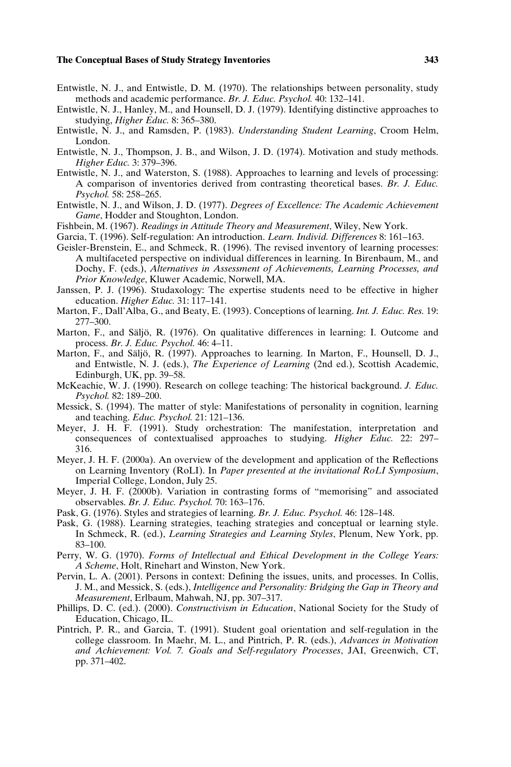- Entwistle, N. J., and Entwistle, D. M. (1970). The relationships between personality, study methods and academic performance. *Br. J. Educ. Psychol.* 40: 132–141.
- Entwistle, N. J., Hanley, M., and Hounsell, D. J. (1979). Identifying distinctive approaches to studying, *Higher Educ.* 8: 365–380.
- Entwistle, N. J., and Ramsden, P. (1983). *Understanding Student Learning*, Croom Helm, London.
- Entwistle, N. J., Thompson, J. B., and Wilson, J. D. (1974). Motivation and study methods. *Higher Educ.* 3: 379–396.
- Entwistle, N. J., and Waterston, S. (1988). Approaches to learning and levels of processing: A comparison of inventories derived from contrasting theoretical bases. *Br. J. Educ. Psychol.* 58: 258–265.
- Entwistle, N. J., and Wilson, J. D. (1977). *Degrees of Excellence: The Academic Achievement Game*, Hodder and Stoughton, London.
- Fishbein, M. (1967). *Readings in Attitude Theory and Measurement*, Wiley, New York.
- Garcia, T. (1996). Self-regulation: An introduction. *Learn. Individ. Differences* 8: 161–163. Geisler-Brenstein, E., and Schmeck, R. (1996). The revised inventory of learning processes:
- A multifaceted perspective on individual differences in learning. In Birenbaum, M., and Dochy, F. (eds.), *Alternatives in Assessment of Achievements, Learning Processes, and Prior Knowledge*, Kluwer Academic, Norwell, MA.
- Janssen, P. J. (1996). Studaxology: The expertise students need to be effective in higher education. *Higher Educ.* 31: 117–141.
- Marton, F., Dall'Alba, G., and Beaty, E. (1993). Conceptions of learning. *Int. J. Educ. Res.* 19: 277–300.
- Marton, F., and Säljö, R. (1976). On qualitative differences in learning: I. Outcome and process. *Br. J. Educ. Psychol.* 46: 4–11.
- Marton, F., and Säljö, R. (1997). Approaches to learning. In Marton, F., Hounsell, D. J., and Entwistle, N. J. (eds.), *The Experience of Learning* (2nd ed.), Scottish Academic, Edinburgh, UK, pp. 39–58.
- McKeachie, W. J. (1990). Research on college teaching: The historical background. *J. Educ. Psychol.* 82: 189–200.
- Messick, S. (1994). The matter of style: Manifestations of personality in cognition, learning and teaching. *Educ. Psychol.* 21: 121–136.
- Meyer, J. H. F. (1991). Study orchestration: The manifestation, interpretation and consequences of contextualised approaches to studying. *Higher Educ.* 22: 297– 316.
- Meyer, J. H. F. (2000a). An overview of the development and application of the Reflections on Learning Inventory (RoLI). In *Paper presented at the invitational RoLI Symposium*, Imperial College, London, July 25.
- Meyer, J. H. F. (2000b). Variation in contrasting forms of "memorising" and associated observables. *Br. J. Educ. Psychol.* 70: 163–176.
- Pask, G. (1976). Styles and strategies of learning. *Br. J. Educ. Psychol.* 46: 128–148.
- Pask, G. (1988). Learning strategies, teaching strategies and conceptual or learning style. In Schmeck, R. (ed.), *Learning Strategies and Learning Styles*, Plenum, New York, pp. 83–100.
- Perry, W. G. (1970). *Forms of Intellectual and Ethical Development in the College Years: A Scheme*, Holt, Rinehart and Winston, New York.
- Pervin, L. A. (2001). Persons in context: Defining the issues, units, and processes. In Collis, J. M., and Messick, S. (eds.), *Intelligence and Personality: Bridging the Gap in Theory and Measurement*, Erlbaum, Mahwah, NJ, pp. 307–317.
- Phillips, D. C. (ed.). (2000). *Constructivism in Education*, National Society for the Study of Education, Chicago, IL.
- Pintrich, P. R., and Garcia, T. (1991). Student goal orientation and self-regulation in the college classroom. In Maehr, M. L., and Pintrich, P. R. (eds.), *Advances in Motivation and Achievement: Vol. 7. Goals and Self-regulatory Processes*, JAI, Greenwich, CT, pp. 371–402.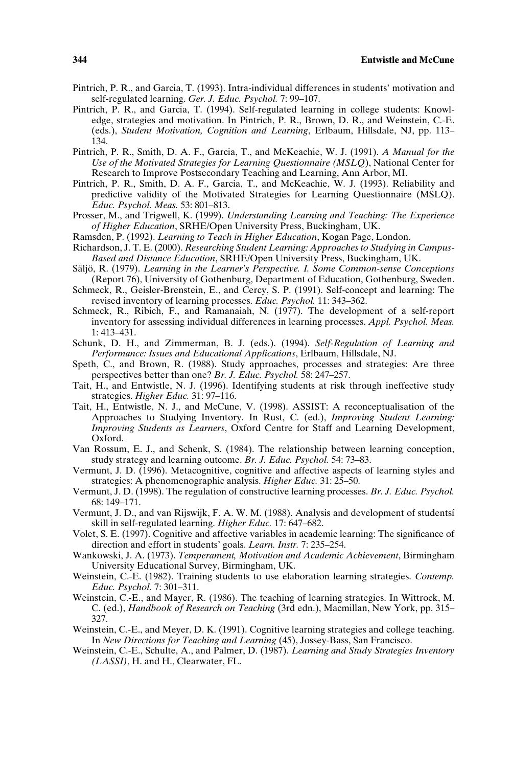- Pintrich, P. R., and Garcia, T. (1993). Intra-individual differences in students' motivation and self-regulated learning. *Ger. J. Educ. Psychol.* 7: 99–107.
- Pintrich, P. R., and Garcia, T. (1994). Self-regulated learning in college students: Knowledge, strategies and motivation. In Pintrich, P. R., Brown, D. R., and Weinstein, C.-E. (eds.), *Student Motivation, Cognition and Learning*, Erlbaum, Hillsdale, NJ, pp. 113– 134.
- Pintrich, P. R., Smith, D. A. F., Garcia, T., and McKeachie, W. J. (1991). *A Manual for the Use of the Motivated Strategies for Learning Questionnaire (MSLQ*), National Center for Research to Improve Postsecondary Teaching and Learning, Ann Arbor, MI.
- Pintrich, P. R., Smith, D. A. F., Garcia, T., and McKeachie, W. J. (1993). Reliability and predictive validity of the Motivated Strategies for Learning Questionnaire (MSLQ). *Educ. Psychol. Meas.* 53: 801–813.
- Prosser, M., and Trigwell, K. (1999). *Understanding Learning and Teaching: The Experience of Higher Education*, SRHE/Open University Press, Buckingham, UK.
- Ramsden, P. (1992). *Learning to Teach in Higher Education*, Kogan Page, London.
- Richardson, J. T. E. (2000). *Researching Student Learning: Approaches to Studying in Campus-Based and Distance Education*, SRHE/Open University Press, Buckingham, UK.
- Säljö, R. (1979). *Learning in the Learner's Perspective. I. Some Common-sense Conceptions* (Report 76), University of Gothenburg, Department of Education, Gothenburg, Sweden.
- Schmeck, R., Geisler-Brenstein, E., and Cercy, S. P. (1991). Self-concept and learning: The revised inventory of learning processes. *Educ. Psychol.* 11: 343–362.
- Schmeck, R., Ribich, F., and Ramanaiah, N. (1977). The development of a self-report inventory for assessing individual differences in learning processes. *Appl. Psychol. Meas.* 1: 413–431.
- Schunk, D. H., and Zimmerman, B. J. (eds.). (1994). *Self-Regulation of Learning and Performance: Issues and Educational Applications*, Erlbaum, Hillsdale, NJ.
- Speth, C., and Brown, R. (1988). Study approaches, processes and strategies: Are three perspectives better than one? *Br. J. Educ. Psychol.* 58: 247–257.
- Tait, H., and Entwistle, N. J. (1996). Identifying students at risk through ineffective study strategies. *Higher Educ.* 31: 97–116.
- Tait, H., Entwistle, N. J., and McCune, V. (1998). ASSIST: A reconceptualisation of the Approaches to Studying Inventory. In Rust, C. (ed.), *Improving Student Learning: Improving Students as Learners*, Oxford Centre for Staff and Learning Development, Oxford.
- Van Rossum, E. J., and Schenk, S. (1984). The relationship between learning conception, study strategy and learning outcome. *Br. J. Educ. Psychol.* 54: 73–83.
- Vermunt, J. D. (1996). Metacognitive, cognitive and affective aspects of learning styles and strategies: A phenomenographic analysis. *Higher Educ.* 31: 25–50.
- Vermunt, J. D. (1998). The regulation of constructive learning processes. *Br. J. Educ. Psychol.* 68: 149–171.
- Vermunt, J. D., and van Rijswijk, F. A. W. M. (1988). Analysis and development of students´ı skill in self-regulated learning. *Higher Educ.* 17: 647–682.
- Volet, S. E. (1997). Cognitive and affective variables in academic learning: The significance of direction and effort in students' goals. *Learn. Instr.* 7: 235–254.
- Wankowski, J. A. (1973). *Temperament, Motivation and Academic Achievement*, Birmingham University Educational Survey, Birmingham, UK.
- Weinstein, C.-E. (1982). Training students to use elaboration learning strategies. *Contemp. Educ. Psychol.* 7: 301–311.
- Weinstein, C.-E., and Mayer, R. (1986). The teaching of learning strategies. In Wittrock, M. C. (ed.), *Handbook of Research on Teaching* (3rd edn.), Macmillan, New York, pp. 315– 327.
- Weinstein, C.-E., and Meyer, D. K. (1991). Cognitive learning strategies and college teaching. In *New Directions for Teaching and Learning* (45), Jossey-Bass, San Francisco.
- Weinstein, C.-E., Schulte, A., and Palmer, D. (1987). *Learning and Study Strategies Inventory (LASSI)*, H. and H., Clearwater, FL.